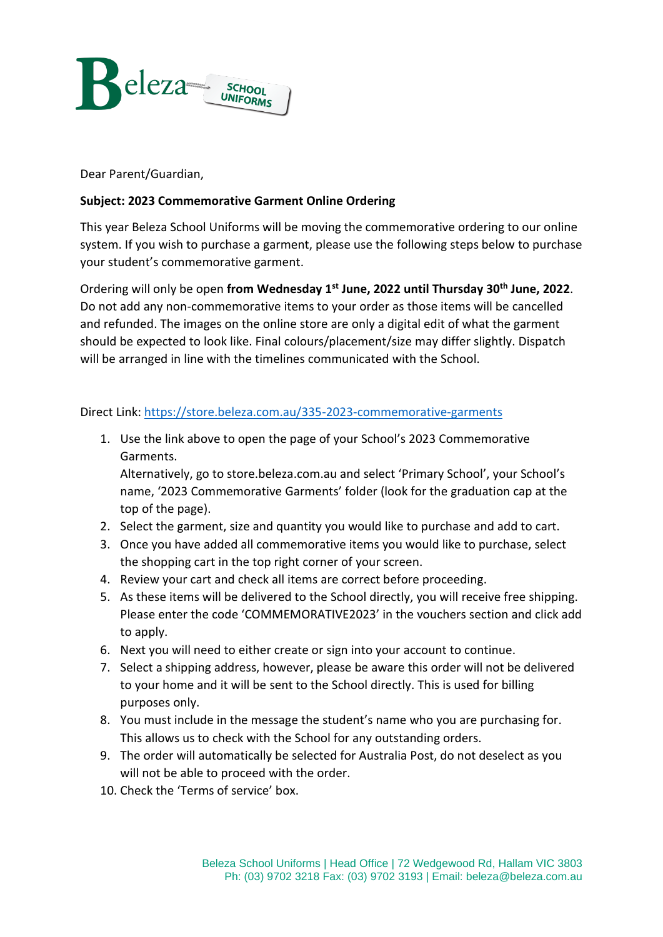

Dear Parent/Guardian,

## **Subject: 2023 Commemorative Garment Online Ordering**

This year Beleza School Uniforms will be moving the commemorative ordering to our online system. If you wish to purchase a garment, please use the following steps below to purchase your student's commemorative garment.

Ordering will only be open **from Wednesday 1st June, 2022 until Thursday 30th June, 2022**. Do not add any non-commemorative items to your order as those items will be cancelled and refunded. The images on the online store are only a digital edit of what the garment should be expected to look like. Final colours/placement/size may differ slightly. Dispatch will be arranged in line with the timelines communicated with the School.

Direct Link: <https://store.beleza.com.au/335-2023-commemorative-garments>

1. Use the link above to open the page of your School's 2023 Commemorative Garments.

Alternatively, go to store.beleza.com.au and select 'Primary School', your School's name, '2023 Commemorative Garments' folder (look for the graduation cap at the top of the page).

- 2. Select the garment, size and quantity you would like to purchase and add to cart.
- 3. Once you have added all commemorative items you would like to purchase, select the shopping cart in the top right corner of your screen.
- 4. Review your cart and check all items are correct before proceeding.
- 5. As these items will be delivered to the School directly, you will receive free shipping. Please enter the code 'COMMEMORATIVE2023' in the vouchers section and click add to apply.
- 6. Next you will need to either create or sign into your account to continue.
- 7. Select a shipping address, however, please be aware this order will not be delivered to your home and it will be sent to the School directly. This is used for billing purposes only.
- 8. You must include in the message the student's name who you are purchasing for. This allows us to check with the School for any outstanding orders.
- 9. The order will automatically be selected for Australia Post, do not deselect as you will not be able to proceed with the order.
- 10. Check the 'Terms of service' box.